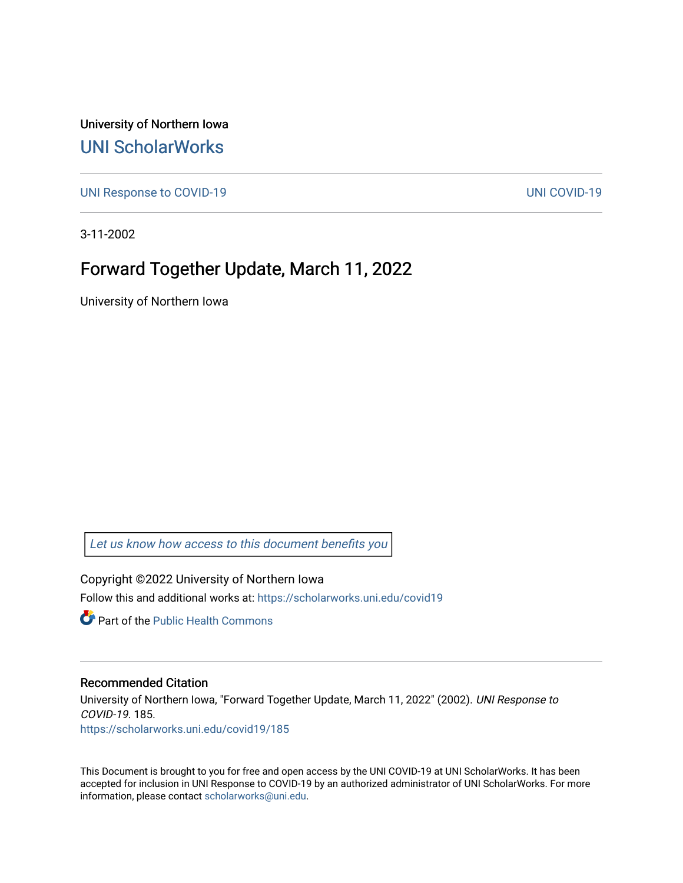University of Northern Iowa [UNI ScholarWorks](https://scholarworks.uni.edu/) 

[UNI Response to COVID-19](https://scholarworks.uni.edu/covid19) [UNI COVID-19](https://scholarworks.uni.edu/covid) 

3-11-2002

## Forward Together Update, March 11, 2022

University of Northern Iowa

[Let us know how access to this document benefits you](https://scholarworks.uni.edu/feedback_form.html) 

Copyright ©2022 University of Northern Iowa Follow this and additional works at: [https://scholarworks.uni.edu/covid19](https://scholarworks.uni.edu/covid19?utm_source=scholarworks.uni.edu%2Fcovid19%2F185&utm_medium=PDF&utm_campaign=PDFCoverPages)

**C** Part of the Public Health Commons

## Recommended Citation

University of Northern Iowa, "Forward Together Update, March 11, 2022" (2002). UNI Response to COVID-19. 185. [https://scholarworks.uni.edu/covid19/185](https://scholarworks.uni.edu/covid19/185?utm_source=scholarworks.uni.edu%2Fcovid19%2F185&utm_medium=PDF&utm_campaign=PDFCoverPages)

This Document is brought to you for free and open access by the UNI COVID-19 at UNI ScholarWorks. It has been accepted for inclusion in UNI Response to COVID-19 by an authorized administrator of UNI ScholarWorks. For more information, please contact [scholarworks@uni.edu.](mailto:scholarworks@uni.edu)